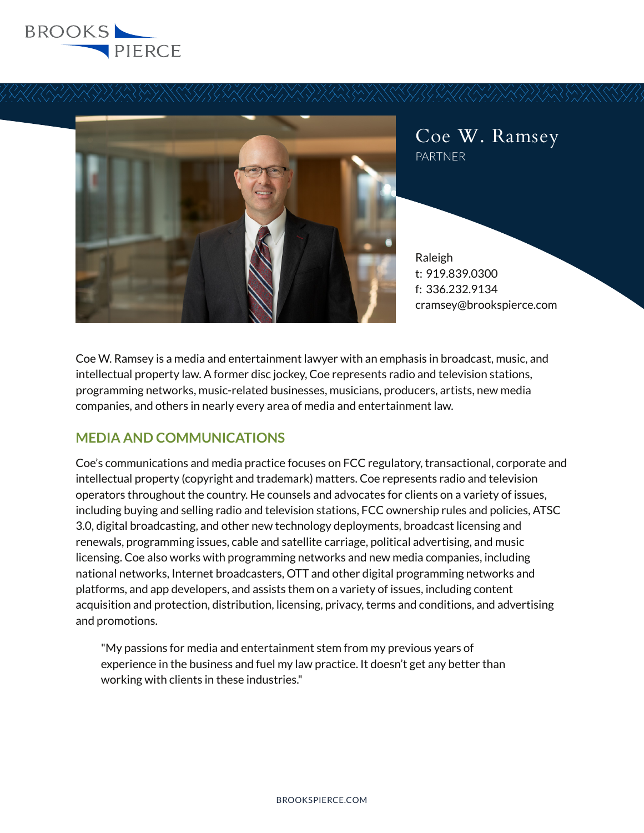



Coe W. Ramsey PARTNER

Raleigh t: 919.839.0300 f: 336.232.9134 cramsey@brookspierce.com

Coe W. Ramsey is a media and entertainment lawyer with an emphasis in broadcast, music, and intellectual property law. A former disc jockey, Coe represents radio and television stations, programming networks, music-related businesses, musicians, producers, artists, new media companies, and others in nearly every area of media and entertainment law.

# **MEDIA AND COMMUNICATIONS**

Coe's communications and media practice focuses on FCC regulatory, transactional, corporate and intellectual property (copyright and trademark) matters. Coe represents radio and television operators throughout the country. He counsels and advocates for clients on a variety of issues, including buying and selling radio and television stations, FCC ownership rules and policies, ATSC 3.0, digital broadcasting, and other new technology deployments, broadcast licensing and renewals, programming issues, cable and satellite carriage, political advertising, and music licensing. Coe also works with programming networks and new media companies, including national networks, Internet broadcasters, OTT and other digital programming networks and platforms, and app developers, and assists them on a variety of issues, including content acquisition and protection, distribution, licensing, privacy, terms and conditions, and advertising and promotions.

"My passions for media and entertainment stem from my previous years of experience in the business and fuel my law practice. It doesn't get any better than working with clients in these industries."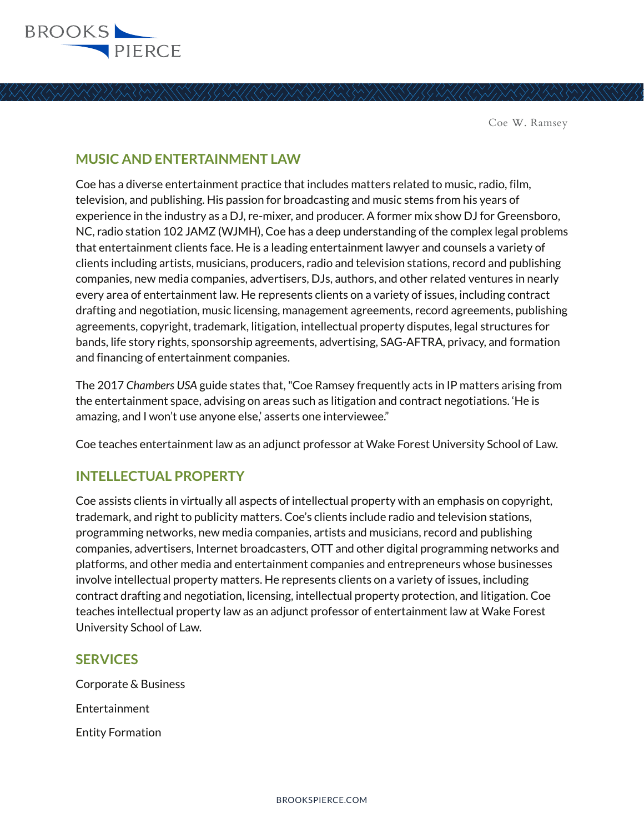

## **MUSIC AND ENTERTAINMENT LAW**

Coe has a diverse entertainment practice that includes matters related to music, radio, film, television, and publishing. His passion for broadcasting and music stems from his years of experience in the industry as a DJ, re-mixer, and producer. A former mix show DJ for Greensboro, NC, radio station 102 JAMZ (WJMH), Coe has a deep understanding of the complex legal problems that entertainment clients face. He is a leading entertainment lawyer and counsels a variety of clients including artists, musicians, producers, radio and television stations, record and publishing companies, new media companies, advertisers, DJs, authors, and other related ventures in nearly every area of entertainment law. He represents clients on a variety of issues, including contract drafting and negotiation, music licensing, management agreements, record agreements, publishing agreements, copyright, trademark, litigation, intellectual property disputes, legal structures for bands, life story rights, sponsorship agreements, advertising, SAG-AFTRA, privacy, and formation and financing of entertainment companies.

The 2017 *Chambers USA* guide states that, "Coe Ramsey frequently acts in IP matters arising from the entertainment space, advising on areas such as litigation and contract negotiations. 'He is amazing, and I won't use anyone else,' asserts one interviewee."

Coe teaches entertainment law as an adjunct professor at Wake Forest University School of Law.

## **INTELLECTUAL PROPERTY**

Coe assists clients in virtually all aspects of intellectual property with an emphasis on copyright, trademark, and right to publicity matters. Coe's clients include radio and television stations, programming networks, new media companies, artists and musicians, record and publishing companies, advertisers, Internet broadcasters, OTT and other digital programming networks and platforms, and other media and entertainment companies and entrepreneurs whose businesses involve intellectual property matters. He represents clients on a variety of issues, including contract drafting and negotiation, licensing, intellectual property protection, and litigation. Coe teaches intellectual property law as an adjunct professor of entertainment law at Wake Forest University School of Law.

### **SERVICES**

Corporate & Business Entertainment Entity Formation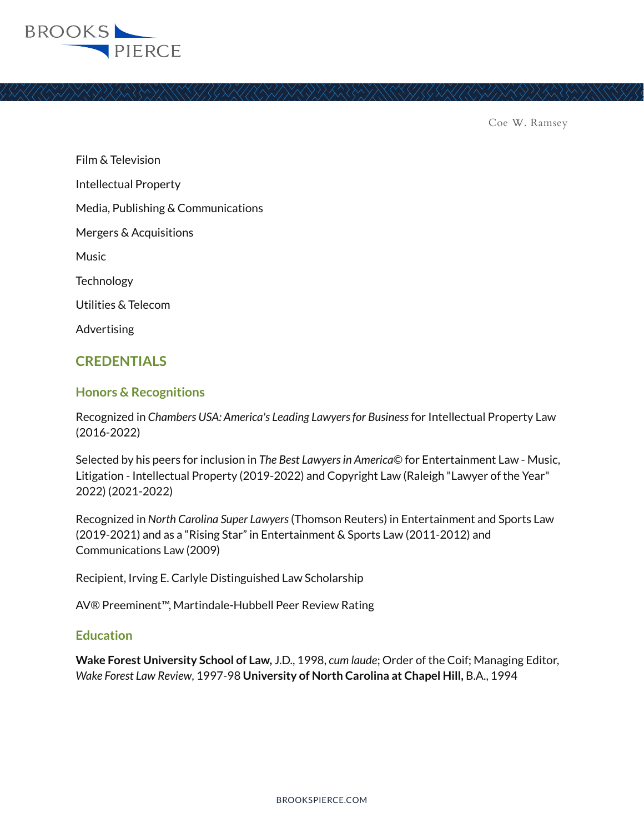

Film & Television Intellectual Property Media, Publishing & Communications Mergers & Acquisitions Music **Technology** Utilities & Telecom Advertising

## **CREDENTIALS**

#### **Honors & Recognitions**

Recognized in *Chambers USA: America's Leading Lawyers for Business* for Intellectual Property Law (2016-2022)

Selected by his peers for inclusion in *The Best Lawyers in America*© for Entertainment Law - Music, Litigation - Intellectual Property (2019-2022) and Copyright Law (Raleigh "Lawyer of the Year" 2022) (2021-2022)

Recognized in *North Carolina Super Lawyers* (Thomson Reuters) in Entertainment and Sports Law (2019-2021) and as a "Rising Star" in Entertainment & Sports Law (2011-2012) and Communications Law (2009)

Recipient, Irving E. Carlyle Distinguished Law Scholarship

AV® Preeminent™, Martindale-Hubbell Peer Review Rating

#### **Education**

**Wake Forest University School of Law,** J.D., 1998, *cum laude*; Order of the Coif; Managing Editor, *Wake Forest Law Review*, 1997-98 **University of North Carolina at Chapel Hill,** B.A., 1994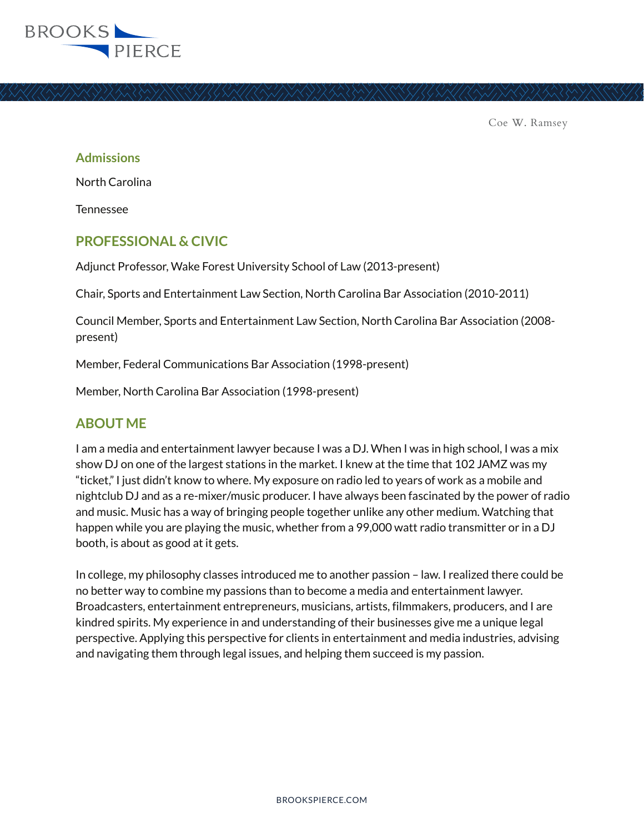

#### **Admissions**

North Carolina

Tennessee

### **PROFESSIONAL & CIVIC**

Adjunct Professor, Wake Forest University School of Law (2013-present)

Chair, Sports and Entertainment Law Section, North Carolina Bar Association (2010-2011)

Council Member, Sports and Entertainment Law Section, North Carolina Bar Association (2008 present)

Member, Federal Communications Bar Association (1998-present)

Member, North Carolina Bar Association (1998-present)

### **ABOUT ME**

I am a media and entertainment lawyer because I was a DJ. When I was in high school, I was a mix show DJ on one of the largest stations in the market. I knew at the time that 102 JAMZ was my "ticket," I just didn't know to where. My exposure on radio led to years of work as a mobile and nightclub DJ and as a re-mixer/music producer. I have always been fascinated by the power of radio and music. Music has a way of bringing people together unlike any other medium. Watching that happen while you are playing the music, whether from a 99,000 watt radio transmitter or in a DJ booth, is about as good at it gets.

In college, my philosophy classes introduced me to another passion – law. I realized there could be no better way to combine my passions than to become a media and entertainment lawyer. Broadcasters, entertainment entrepreneurs, musicians, artists, filmmakers, producers, and I are kindred spirits. My experience in and understanding of their businesses give me a unique legal perspective. Applying this perspective for clients in entertainment and media industries, advising and navigating them through legal issues, and helping them succeed is my passion.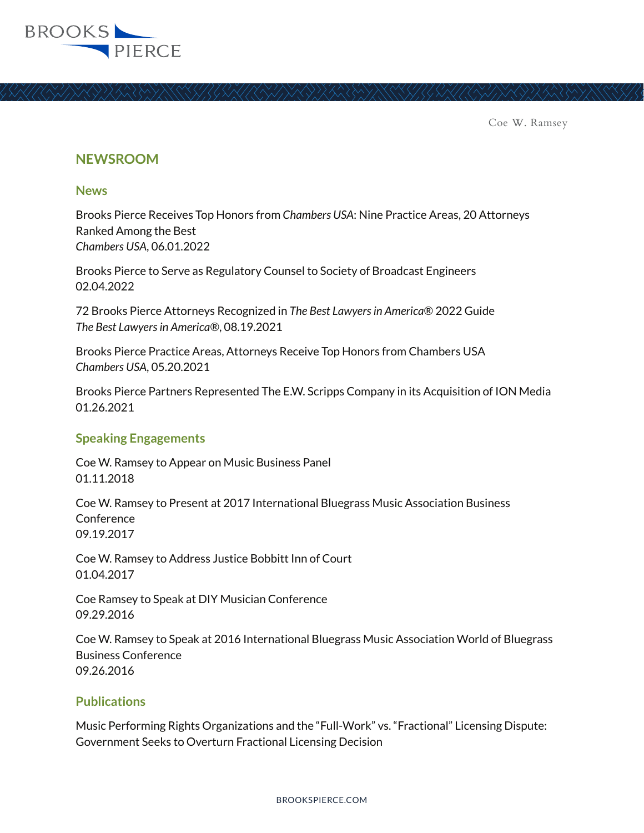

#### **NEWSROOM**

#### **News**

Brooks Pierce Receives Top Honors from *Chambers USA*: Nine Practice Areas, 20 Attorneys Ranked Among the Best *Chambers USA*, 06.01.2022

Brooks Pierce to Serve as Regulatory Counsel to Society of Broadcast Engineers 02.04.2022

72 Brooks Pierce Attorneys Recognized in *The Best Lawyers in America*® 2022 Guide *The Best Lawyers in America®*, 08.19.2021

Brooks Pierce Practice Areas, Attorneys Receive Top Honors from Chambers USA *Chambers USA*, 05.20.2021

Brooks Pierce Partners Represented The E.W. Scripps Company in its Acquisition of ION Media 01.26.2021

#### **Speaking Engagements**

Coe W. Ramsey to Appear on Music Business Panel 01.11.2018

Coe W. Ramsey to Present at 2017 International Bluegrass Music Association Business Conference 09.19.2017

Coe W. Ramsey to Address Justice Bobbitt Inn of Court 01.04.2017

Coe Ramsey to Speak at DIY Musician Conference 09.29.2016

Coe W. Ramsey to Speak at 2016 International Bluegrass Music Association World of Bluegrass Business Conference 09.26.2016

#### **Publications**

Music Performing Rights Organizations and the "Full-Work" vs. "Fractional" Licensing Dispute: Government Seeks to Overturn Fractional Licensing Decision